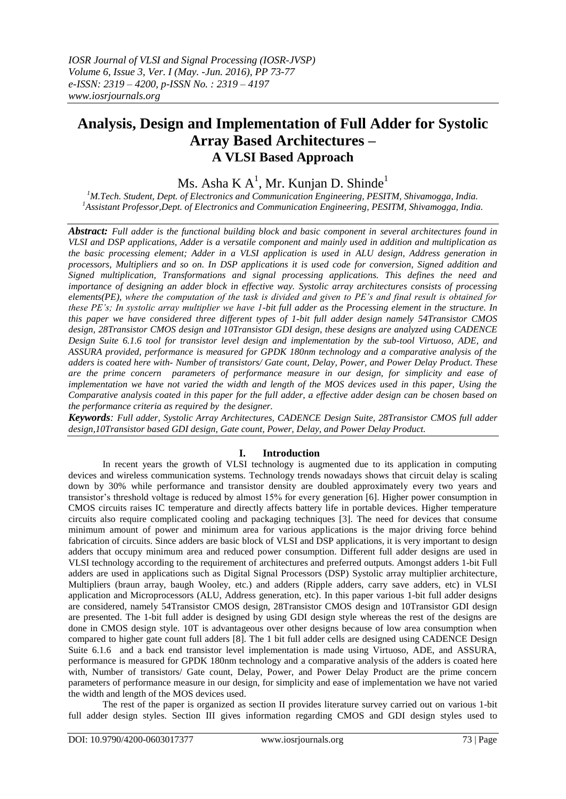# **Analysis, Design and Implementation of Full Adder for Systolic Array Based Architectures – A VLSI Based Approach**

# Ms. Asha K $A^1$ , Mr. Kunjan D. Shinde<sup>1</sup>

*<sup>1</sup>M.Tech. Student, Dept. of Electronics and Communication Engineering, PESITM, Shivamogga, India. <sup>1</sup>Assistant Professor,Dept. of Electronics and Communication Engineering, PESITM, Shivamogga, India.*

*Abstract: Full adder is the functional building block and basic component in several architectures found in VLSI and DSP applications, Adder is a versatile component and mainly used in addition and multiplication as the basic processing element; Adder in a VLSI application is used in ALU design, Address generation in processors, Multipliers and so on. In DSP applications it is used code for conversion, Signed addition and Signed multiplication, Transformations and signal processing applications. This defines the need and importance of designing an adder block in effective way. Systolic array architectures consists of processing elements(PE), where the computation of the task is divided and given to PE's and final result is obtained for these PE's; In systolic array multiplier we have 1-bit full adder as the Processing element in the structure. In this paper we have considered three different types of 1-bit full adder design namely 54Transistor CMOS design, 28Transistor CMOS design and 10Transistor GDI design, these designs are analyzed using CADENCE Design Suite 6.1.6 tool for transistor level design and implementation by the sub-tool Virtuoso, ADE, and ASSURA provided, performance is measured for GPDK 180nm technology and a comparative analysis of the adders is coated here with- Number of transistors/ Gate count, Delay, Power, and Power Delay Product. These are the prime concern parameters of performance measure in our design, for simplicity and ease of implementation we have not varied the width and length of the MOS devices used in this paper, Using the Comparative analysis coated in this paper for the full adder, a effective adder design can be chosen based on the performance criteria as required by the designer.* 

*Keywords: Full adder, Systolic Array Architectures, CADENCE Design Suite, 28Transistor CMOS full adder design,10Transistor based GDI design, Gate count, Power, Delay, and Power Delay Product.* 

## **I. Introduction**

In recent years the growth of VLSI technology is augmented due to its application in computing devices and wireless communication systems. Technology trends nowadays shows that circuit delay is scaling down by 30% while performance and transistor density are doubled approximately every two years and transistor"s threshold voltage is reduced by almost 15% for every generation [6]. Higher power consumption in CMOS circuits raises IC temperature and directly affects battery life in portable devices. Higher temperature circuits also require complicated cooling and packaging techniques [3]. The need for devices that consume minimum amount of power and minimum area for various applications is the major driving force behind fabrication of circuits. Since adders are basic block of VLSI and DSP applications, it is very important to design adders that occupy minimum area and reduced power consumption. Different full adder designs are used in VLSI technology according to the requirement of architectures and preferred outputs. Amongst adders 1-bit Full adders are used in applications such as Digital Signal Processors (DSP) Systolic array multiplier architecture, Multipliers (braun array, baugh Wooley, etc.) and adders (Ripple adders, carry save adders, etc) in VLSI application and Microprocessors (ALU, Address generation, etc). In this paper various 1-bit full adder designs are considered, namely 54Transistor CMOS design, 28Transistor CMOS design and 10Transistor GDI design are presented. The 1-bit full adder is designed by using GDI design style whereas the rest of the designs are done in CMOS design style. 10T is advantageous over other designs because of low area consumption when compared to higher gate count full adders [8]. The 1 bit full adder cells are designed using CADENCE Design Suite 6.1.6 and a back end transistor level implementation is made using Virtuoso, ADE, and ASSURA, performance is measured for GPDK 180nm technology and a comparative analysis of the adders is coated here with, Number of transistors/ Gate count, Delay, Power, and Power Delay Product are the prime concern parameters of performance measure in our design, for simplicity and ease of implementation we have not varied the width and length of the MOS devices used.

The rest of the paper is organized as section II provides literature survey carried out on various 1-bit full adder design styles. Section III gives information regarding CMOS and GDI design styles used to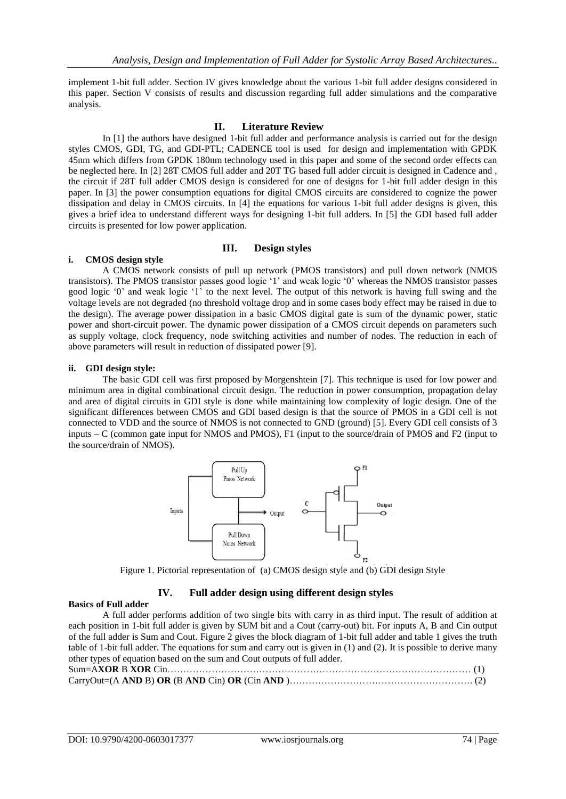implement 1-bit full adder. Section IV gives knowledge about the various 1-bit full adder designs considered in this paper. Section V consists of results and discussion regarding full adder simulations and the comparative analysis.

## **II. Literature Review**

In [1] the authors have designed 1-bit full adder and performance analysis is carried out for the design styles CMOS, GDI, TG, and GDI-PTL; CADENCE tool is used for design and implementation with GPDK 45nm which differs from GPDK 180nm technology used in this paper and some of the second order effects can be neglected here. In [2] 28T CMOS full adder and 20T TG based full adder circuit is designed in Cadence and , the circuit if 28T full adder CMOS design is considered for one of designs for 1-bit full adder design in this paper. In [3] the power consumption equations for digital CMOS circuits are considered to cognize the power dissipation and delay in CMOS circuits. In [4] the equations for various 1-bit full adder designs is given, this gives a brief idea to understand different ways for designing 1-bit full adders. In [5] the GDI based full adder circuits is presented for low power application.

## **III. Design styles**

## **i. CMOS design style**

A CMOS network consists of pull up network (PMOS transistors) and pull down network (NMOS transistors). The PMOS transistor passes good logic "1" and weak logic "0" whereas the NMOS transistor passes good logic "0" and weak logic "1" to the next level. The output of this network is having full swing and the voltage levels are not degraded (no threshold voltage drop and in some cases body effect may be raised in due to the design). The average power dissipation in a basic CMOS digital gate is sum of the dynamic power, static power and short-circuit power. The dynamic power dissipation of a CMOS circuit depends on parameters such as supply voltage, clock frequency, node switching activities and number of nodes. The reduction in each of above parameters will result in reduction of dissipated power [9].

## **ii. GDI design style:**

The basic GDI cell was first proposed by Morgenshtein [7]. This technique is used for low power and minimum area in digital combinational circuit design. The reduction in power consumption, propagation delay and area of digital circuits in GDI style is done while maintaining low complexity of logic design. One of the significant differences between CMOS and GDI based design is that the source of PMOS in a GDI cell is not connected to VDD and the source of NMOS is not connected to GND (ground) [5]. Every GDI cell consists of 3 inputs – C (common gate input for NMOS and PMOS), F1 (input to the source/drain of PMOS and F2 (input to the source/drain of NMOS).



Figure 1. Pictorial representation of (a) CMOS design style and (b) GDI design Style

# **IV. Full adder design using different design styles**

## **Basics of Full adder**

A full adder performs addition of two single bits with carry in as third input. The result of addition at each position in 1-bit full adder is given by SUM bit and a Cout (carry-out) bit. For inputs A, B and Cin output of the full adder is Sum and Cout. Figure 2 gives the block diagram of 1-bit full adder and table 1 gives the truth table of 1-bit full adder. The equations for sum and carry out is given in (1) and (2). It is possible to derive many other types of equation based on the sum and Cout outputs of full adder.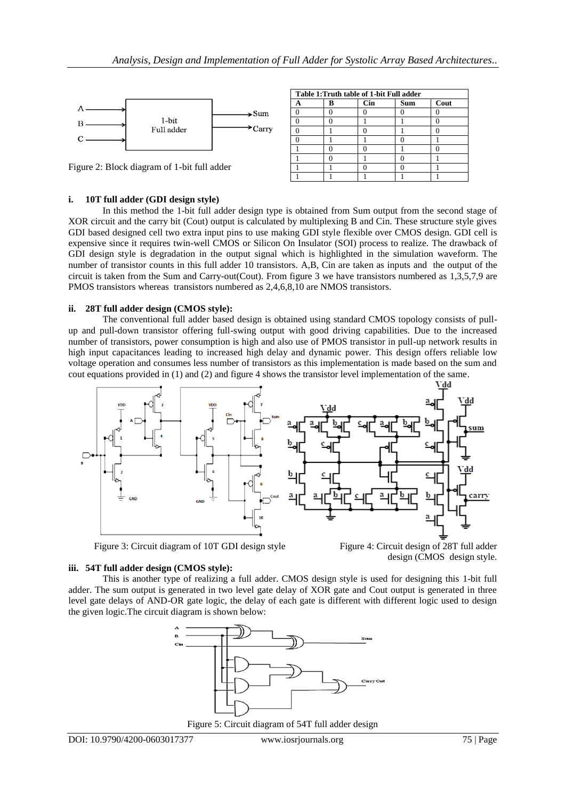

Figure 2: Block diagram of 1-bit full adder

| Table 1: Truth table of 1-bit Full adder |  |            |            |      |  |  |
|------------------------------------------|--|------------|------------|------|--|--|
|                                          |  | <b>Cin</b> | <b>Sum</b> | Cout |  |  |
|                                          |  |            |            |      |  |  |
|                                          |  |            |            |      |  |  |
|                                          |  |            |            |      |  |  |
|                                          |  |            |            |      |  |  |
|                                          |  |            |            |      |  |  |
|                                          |  |            |            |      |  |  |
|                                          |  |            |            |      |  |  |
|                                          |  |            |            |      |  |  |

#### **i. 10T full adder (GDI design style)**

In this method the 1-bit full adder design type is obtained from Sum output from the second stage of XOR circuit and the carry bit (Cout) output is calculated by multiplexing B and Cin. These structure style gives GDI based designed cell two extra input pins to use making GDI style flexible over CMOS design. GDI cell is expensive since it requires twin-well CMOS or Silicon On Insulator (SOI) process to realize. The drawback of GDI design style is degradation in the output signal which is highlighted in the simulation waveform. The number of transistor counts in this full adder 10 transistors. A,B, Cin are taken as inputs and the output of the circuit is taken from the Sum and Carry-out(Cout). From figure 3 we have transistors numbered as 1,3,5,7,9 are PMOS transistors whereas transistors numbered as 2,4,6,8,10 are NMOS transistors.

#### **ii. 28T full adder design (CMOS style):**

The conventional full adder based design is obtained using standard CMOS topology consists of pullup and pull-down transistor offering full-swing output with good driving capabilities. Due to the increased number of transistors, power consumption is high and also use of PMOS transistor in pull-up network results in high input capacitances leading to increased high delay and dynamic power. This design offers reliable low voltage operation and consumes less number of transistors as this implementation is made based on the sum and cout equations provided in (1) and (2) and figure 4 shows the transistor level implementation of the same.



Figure 3: Circuit diagram of 10T GDI design styleFigure 4: Circuit design of 28T full adder

design (CMOS design style.

## **iii. 54T full adder design (CMOS style):**

This is another type of realizing a full adder. CMOS design style is used for designing this 1-bit full adder. The sum output is generated in two level gate delay of XOR gate and Cout output is generated in three level gate delays of AND-OR gate logic, the delay of each gate is different with different logic used to design the given logic.The circuit diagram is shown below:



Figure 5: Circuit diagram of 54T full adder design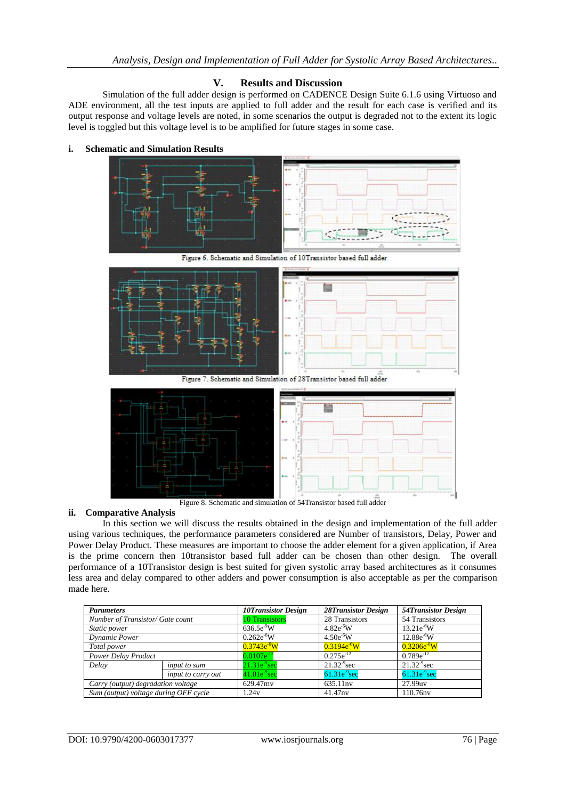# **V. Results and Discussion**

Simulation of the full adder design is performed on CADENCE Design Suite 6.1.6 using Virtuoso and ADE environment, all the test inputs are applied to full adder and the result for each case is verified and its output response and voltage levels are noted, in some scenarios the output is degraded not to the extent its logic level is toggled but this voltage level is to be amplified for future stages in some case.

#### **i. Schematic and Simulation Results**



Figure 6. Schematic and Simulation of 10Transistor based full adder



Figure 8. Schematic and simulation of 54Transistor based full adder

### **ii. Comparative Analysis**

In this section we will discuss the results obtained in the design and implementation of the full adder using various techniques, the performance parameters considered are Number of transistors, Delay, Power and Power Delay Product. These measures are important to choose the adder element for a given application, if Area is the prime concern then 10transistor based full adder can be chosen than other design. The overall performance of a 10Transistor design is best suited for given systolic array based architectures as it consumes less area and delay compared to other adders and power consumption is also acceptable as per the comparison made here.

| <b>Parameters</b>                     |                    | <b>10Transistor Design</b> | <b>28Transistor Design</b> | <b>54Transistor Design</b> |
|---------------------------------------|--------------------|----------------------------|----------------------------|----------------------------|
| Number of Transistor/ Gate count      |                    | <b>10 Transistors</b>      | 28 Transistors             | 54 Transistors             |
| Static power                          |                    | $636.5e^{9}W$              | $4.82e^{6}W$               | $13.21e^{6}W$              |
| Dynamic Power                         |                    | $0.262e^{-6}W$             | $4.50e^{6}W$               | $12.88e^{-6}W$             |
| Total power                           |                    | $0.3743e^{6}W$             | $0.3194e^{6}W$             | $0.3206e^{6}W$             |
| <b>Power Delay Product</b>            |                    | $0.0107e^{-12}$            | $0.275e^{-12}$             | $0.789e^{-12}$             |
| Delay                                 | input to sum       | $21.31e^{9}sec$            | $21.32^{9}$ sec            | $21.32^{9}$ sec            |
|                                       | input to carry out | $41.01e^{9}$ sec           | $61.31e-9sec$              | $61.31e-9sec$              |
| Carry (output) degradation voltage    |                    | 629.47mv                   | 635.11nv                   | 27.99uv                    |
| Sum (output) voltage during OFF cycle |                    | 1.24v                      | 41.47nv                    | 110.76nv                   |